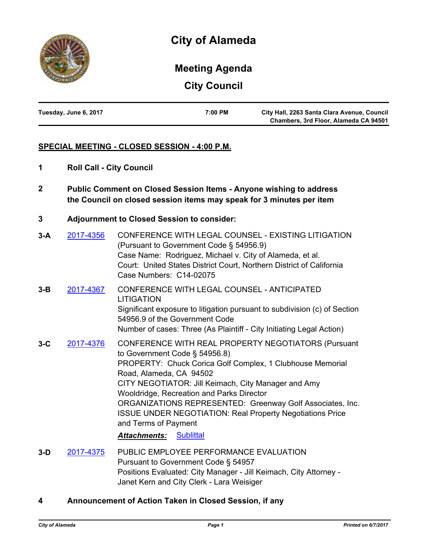

# **Meeting Agenda**

**City Council**

| Tuesday, June 6, 2017 | 7:00 PM | City Hall, 2263 Santa Clara Avenue, Council |
|-----------------------|---------|---------------------------------------------|
|                       |         | Chambers, 3rd Floor, Alameda CA 94501       |

## **SPECIAL MEETING - CLOSED SESSION - 4:00 P.M.**

- **1 Roll Call City Council**
- **2 Public Comment on Closed Session Items Anyone wishing to address the Council on closed session items may speak for 3 minutes per item**
- **3 Adjournment to Closed Session to consider:**
- **3-A** [2017-4356](http://alameda.legistar.com/gateway.aspx?m=l&id=/matter.aspx?key=6057) CONFERENCE WITH LEGAL COUNSEL EXISTING LITIGATION (Pursuant to Government Code § 54956.9) Case Name: Rodriguez, Michael v. City of Alameda, et al. Court: United States District Court, Northern District of California Case Numbers: C14-02075
- **3-B** [2017-4367](http://alameda.legistar.com/gateway.aspx?m=l&id=/matter.aspx?key=6068) CONFERENCE WITH LEGAL COUNSEL ANTICIPATED **LITIGATION** Significant exposure to litigation pursuant to subdivision (c) of Section 54956.9 of the Government Code Number of cases: Three (As Plaintiff - City Initiating Legal Action)
- **3-C** [2017-4376](http://alameda.legistar.com/gateway.aspx?m=l&id=/matter.aspx?key=6077) CONFERENCE WITH REAL PROPERTY NEGOTIATORS (Pursuant to Government Code § 54956.8) PROPERTY: Chuck Corica Golf Complex, 1 Clubhouse Memorial Road, Alameda, CA 94502 CITY NEGOTIATOR: Jill Keimach, City Manager and Amy Wooldridge, Recreation and Parks Director ORGANIZATIONS REPRESENTED: Greenway Golf Associates, Inc. ISSUE UNDER NEGOTIATION: Real Property Negotiations Price and Terms of Payment

## *Attachments:* [Sublittal](http://alameda.legistar.com/gateway.aspx?M=F&ID=c914f097-7a27-447f-94fd-fa69df21bcbb.pdf)

**3-D** [2017-4375](http://alameda.legistar.com/gateway.aspx?m=l&id=/matter.aspx?key=6076) PUBLIC EMPLOYEE PERFORMANCE EVALUATION Pursuant to Government Code § 54957 Positions Evaluated: City Manager - Jill Keimach, City Attorney - Janet Kern and City Clerk - Lara Weisiger

## **4 Announcement of Action Taken in Closed Session, if any**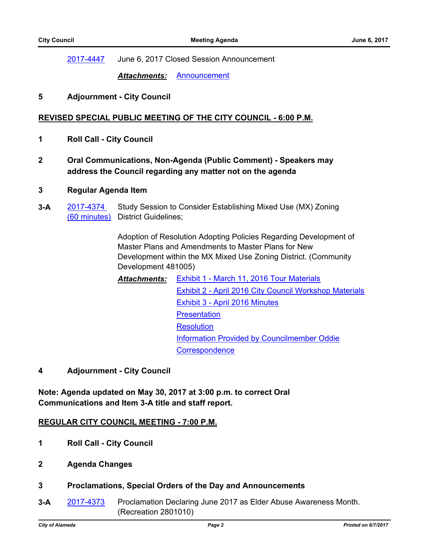[2017-4447](http://alameda.legistar.com/gateway.aspx?m=l&id=/matter.aspx?key=6148) June 6, 2017 Closed Session Announcement

*Attachments:* [Announcement](http://alameda.legistar.com/gateway.aspx?M=F&ID=a1e73fcd-4d24-436f-8f53-758fbc425c98.pdf)

#### **5 Adjournment - City Council**

## **REVISED SPECIAL PUBLIC MEETING OF THE CITY COUNCIL - 6:00 P.M.**

- **1 Roll Call City Council**
- **2 Oral Communications, Non-Agenda (Public Comment) Speakers may address the Council regarding any matter not on the agenda**

#### **3 Regular Agenda Item**

**3-A** 2017-4374 [\(60 minutes\)](http://alameda.legistar.com/gateway.aspx?m=l&id=/matter.aspx?key=6075) Study Session to Consider Establishing Mixed Use (MX) Zoning District Guidelines;

> Adoption of Resolution Adopting Policies Regarding Development of Master Plans and Amendments to Master Plans for New Development within the MX Mixed Use Zoning District. (Community Development 481005)

- *Attachments:* [Exhibit 1 March 11, 2016 Tour Materials](http://alameda.legistar.com/gateway.aspx?M=F&ID=20c9d9ab-4357-4a86-9564-43d33143db08.pdf) [Exhibit 2 - April 2016 City Council Workshop Materials](http://alameda.legistar.com/gateway.aspx?M=F&ID=c870bab5-86ce-41d0-b03d-6248d2167ba1.pdf) [Exhibit 3 - April 2016 Minutes](http://alameda.legistar.com/gateway.aspx?M=F&ID=fe431c3d-8a54-46d8-b7ff-04c5339e64f1.pdf) **[Presentation](http://alameda.legistar.com/gateway.aspx?M=F&ID=3174ff3a-d97e-4d5a-815b-ebc37c3e227a.pdf) [Resolution](http://alameda.legistar.com/gateway.aspx?M=F&ID=b56e0212-762f-4bb4-bdd1-1d6646c7c00d.pdf)** [Information Provided by Councilmember Oddie](http://alameda.legistar.com/gateway.aspx?M=F&ID=92f52f82-bad9-41fa-ac20-f8658f5b7656.pdf) **[Correspondence](http://alameda.legistar.com/gateway.aspx?M=F&ID=126055a0-279d-492a-a76d-591029a1d721.pdf)**
- **4 Adjournment City Council**

**Note: Agenda updated on May 30, 2017 at 3:00 p.m. to correct Oral Communications and Item 3-A title and staff report.**

**REGULAR CITY COUNCIL MEETING - 7:00 P.M.**

- **1 Roll Call City Council**
- **2 Agenda Changes**
- **3 Proclamations, Special Orders of the Day and Announcements**
- **3-A** [2017-4373](http://alameda.legistar.com/gateway.aspx?m=l&id=/matter.aspx?key=6074) Proclamation Declaring June 2017 as Elder Abuse Awareness Month. (Recreation 2801010)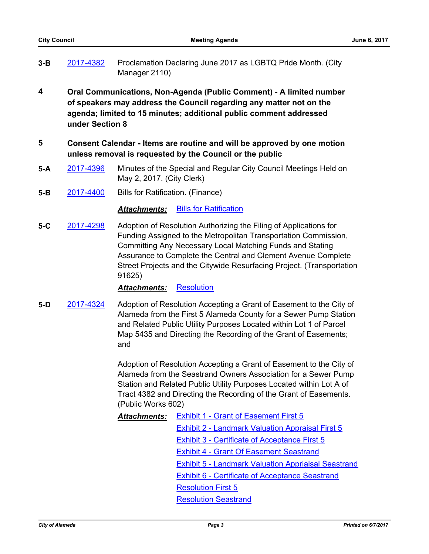- **3-B** [2017-4382](http://alameda.legistar.com/gateway.aspx?m=l&id=/matter.aspx?key=6083) Proclamation Declaring June 2017 as LGBTQ Pride Month. (City Manager 2110)
- **4 Oral Communications, Non-Agenda (Public Comment) A limited number of speakers may address the Council regarding any matter not on the agenda; limited to 15 minutes; additional public comment addressed under Section 8**
- **5 Consent Calendar Items are routine and will be approved by one motion unless removal is requested by the Council or the public**
- **5-A** [2017-4396](http://alameda.legistar.com/gateway.aspx?m=l&id=/matter.aspx?key=6097) Minutes of the Special and Regular City Council Meetings Held on May 2, 2017. (City Clerk)
- **5-B** [2017-4400](http://alameda.legistar.com/gateway.aspx?m=l&id=/matter.aspx?key=6101) Bills for Ratification. (Finance)

#### Attachments: **[Bills for Ratification](http://alameda.legistar.com/gateway.aspx?M=F&ID=1ff81b34-2b3e-4710-8d6f-90b743be72bc.pdf)**

**5-C** [2017-4298](http://alameda.legistar.com/gateway.aspx?m=l&id=/matter.aspx?key=5999) Adoption of Resolution Authorizing the Filing of Applications for Funding Assigned to the Metropolitan Transportation Commission, Committing Any Necessary Local Matching Funds and Stating Assurance to Complete the Central and Clement Avenue Complete Street Projects and the Citywide Resurfacing Project. (Transportation 91625)

#### **Attachments: [Resolution](http://alameda.legistar.com/gateway.aspx?M=F&ID=3efce2cd-4ddd-49d1-920b-dfb03d0b0012.pdf)**

**5-D** [2017-4324](http://alameda.legistar.com/gateway.aspx?m=l&id=/matter.aspx?key=6025) Adoption of Resolution Accepting a Grant of Easement to the City of Alameda from the First 5 Alameda County for a Sewer Pump Station and Related Public Utility Purposes Located within Lot 1 of Parcel Map 5435 and Directing the Recording of the Grant of Easements; and

> Adoption of Resolution Accepting a Grant of Easement to the City of Alameda from the Seastrand Owners Association for a Sewer Pump Station and Related Public Utility Purposes Located within Lot A of Tract 4382 and Directing the Recording of the Grant of Easements. (Public Works 602)

> Attachments: [Exhibit 1 - Grant of Easement First 5](http://alameda.legistar.com/gateway.aspx?M=F&ID=c927cb99-9edc-4f7a-a9cd-ca576a540d5b.pdf) [Exhibit 2 - Landmark Valuation Appraisal First 5](http://alameda.legistar.com/gateway.aspx?M=F&ID=b4350360-a9dc-4ef2-a2c9-f0d63e966ba1.pdf) [Exhibit 3 - Certificate of Acceptance First 5](http://alameda.legistar.com/gateway.aspx?M=F&ID=2a4f73d8-7867-4f7e-ac2e-a6653722a3fb.pdf) [Exhibit 4 - Grant Of Easement Seastrand](http://alameda.legistar.com/gateway.aspx?M=F&ID=28ab9926-ef26-45ba-bf5d-ff452b30681c.pdf) [Exhibit 5 - Landmark Valuation Appriaisal Seastrand](http://alameda.legistar.com/gateway.aspx?M=F&ID=59679b47-8401-43f3-b356-6e4950f489c7.pdf) [Exhibit 6 - Certificate of Acceptance Seastrand](http://alameda.legistar.com/gateway.aspx?M=F&ID=ee0896aa-eaf7-4625-ba3f-47fc24541366.pdf) **[Resolution First 5](http://alameda.legistar.com/gateway.aspx?M=F&ID=579d0426-d979-4a1d-84d6-a5ec27df1056.pdf)** [Resolution Seastrand](http://alameda.legistar.com/gateway.aspx?M=F&ID=ff0d95a2-fd60-4b5b-8d0e-04215002464b.pdf)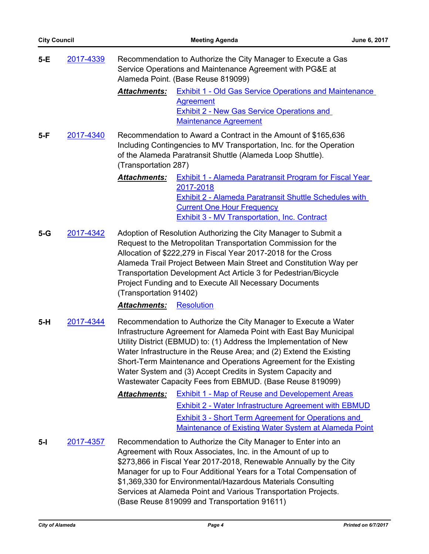| $5-E$ | 2017-4339 | Recommendation to Authorize the City Manager to Execute a Gas<br>Service Operations and Maintenance Agreement with PG&E at<br>Alameda Point. (Base Reuse 819099)                                                                                                                                                                                                                                                                                                                 |  |
|-------|-----------|----------------------------------------------------------------------------------------------------------------------------------------------------------------------------------------------------------------------------------------------------------------------------------------------------------------------------------------------------------------------------------------------------------------------------------------------------------------------------------|--|
|       |           | <b>Exhibit 1 - Old Gas Service Operations and Maintenance</b><br><b>Attachments:</b><br>Agreement<br><b>Exhibit 2 - New Gas Service Operations and</b><br><b>Maintenance Agreement</b>                                                                                                                                                                                                                                                                                           |  |
| $5-F$ | 2017-4340 | Recommendation to Award a Contract in the Amount of \$165,636<br>Including Contingencies to MV Transportation, Inc. for the Operation<br>of the Alameda Paratransit Shuttle (Alameda Loop Shuttle).<br>(Transportation 287)                                                                                                                                                                                                                                                      |  |
|       |           | <b>Exhibit 1 - Alameda Paratransit Program for Fiscal Year</b><br><b>Attachments:</b><br>2017-2018<br><b>Exhibit 2 - Alameda Paratransit Shuttle Schedules with</b><br><b>Current One Hour Frequency</b><br><b>Exhibit 3 - MV Transportation, Inc. Contract</b>                                                                                                                                                                                                                  |  |
| $5-G$ | 2017-4342 | Adoption of Resolution Authorizing the City Manager to Submit a<br>Request to the Metropolitan Transportation Commission for the<br>Allocation of \$222,279 in Fiscal Year 2017-2018 for the Cross<br>Alameda Trail Project Between Main Street and Constitution Way per<br>Transportation Development Act Article 3 for Pedestrian/Bicycle<br>Project Funding and to Execute All Necessary Documents<br>(Transportation 91402)                                                  |  |
|       |           | <b>Resolution</b><br><b>Attachments:</b>                                                                                                                                                                                                                                                                                                                                                                                                                                         |  |
| $5-H$ | 2017-4344 | Recommendation to Authorize the City Manager to Execute a Water<br>Infrastructure Agreement for Alameda Point with East Bay Municipal<br>Utility District (EBMUD) to: (1) Address the Implementation of New<br>Water Infrastructure in the Reuse Area; and (2) Extend the Existing<br>Short-Term Maintenance and Operations Agreement for the Existing<br>Water System and (3) Accept Credits in System Capacity and<br>Wastewater Capacity Fees from EBMUD. (Base Reuse 819099) |  |
|       |           | <b>Exhibit 1 - Map of Reuse and Developement Areas</b><br><b>Attachments:</b>                                                                                                                                                                                                                                                                                                                                                                                                    |  |
|       |           | <b>Exhibit 2 - Water Infrastructure Agreement with EBMUD</b><br>Exhibit 3 - Short Term Agreement for Operations and<br>Maintenance of Existing Water System at Alameda Point                                                                                                                                                                                                                                                                                                     |  |
| $5-I$ | 2017-4357 | Recommendation to Authorize the City Manager to Enter into an<br>Agreement with Roux Associates, Inc. in the Amount of up to<br>\$273,866 in Fiscal Year 2017-2018, Renewable Annually by the City<br>Manager for up to Four Additional Years for a Total Compensation of<br>\$1,369,330 for Environmental/Hazardous Materials Consulting<br>Services at Alameda Point and Various Transportation Projects.<br>(Base Reuse 819099 and Transportation 91611)                      |  |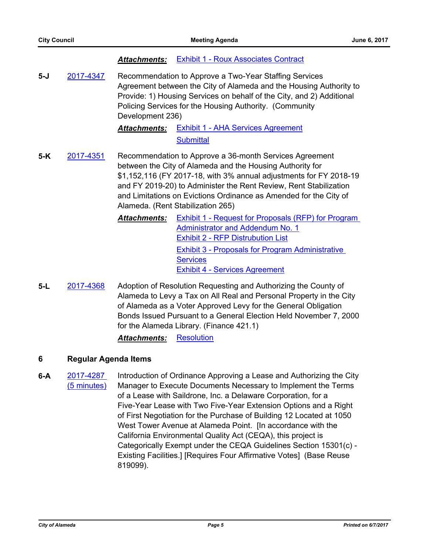#### *Attachments:* [Exhibit 1 - Roux Associates Contract](http://alameda.legistar.com/gateway.aspx?M=F&ID=4903d15e-8b92-4d85-a812-75c790ee5ea5.pdf)

**5-J** [2017-4347](http://alameda.legistar.com/gateway.aspx?m=l&id=/matter.aspx?key=6048) Recommendation to Approve a Two-Year Staffing Services Agreement between the City of Alameda and the Housing Authority to Provide: 1) Housing Services on behalf of the City, and 2) Additional Policing Services for the Housing Authority. (Community Development 236)

> *Attachments:* [Exhibit 1 - AHA Services Agreement](http://alameda.legistar.com/gateway.aspx?M=F&ID=fb3d0067-1454-4660-8b30-6a13f5b0a0e0.pdf) **[Submittal](http://alameda.legistar.com/gateway.aspx?M=F&ID=4c66477f-a36e-4e02-a197-292fe805024d.pdf)**

- **5-K** [2017-4351](http://alameda.legistar.com/gateway.aspx?m=l&id=/matter.aspx?key=6052) Recommendation to Approve a 36-month Services Agreement between the City of Alameda and the Housing Authority for \$1,152,116 (FY 2017-18, with 3% annual adjustments for FY 2018-19 and FY 2019-20) to Administer the Rent Review, Rent Stabilization and Limitations on Evictions Ordinance as Amended for the City of Alameda. (Rent Stabilization 265)
	- *Attachments:* [Exhibit 1 Request for Proposals \(RFP\) for Program](http://alameda.legistar.com/gateway.aspx?M=F&ID=9c6f6796-2b9d-4561-ac6c-2b1dec7e3edf.pdf)  Administrator and Addendum No. 1 [Exhibit 2 - RFP Distrubution List](http://alameda.legistar.com/gateway.aspx?M=F&ID=b2c24a1b-a7fc-4764-8e74-fcecd5fa5eb7.pdf) [Exhibit 3 - Proposals for Program Administrative](http://alameda.legistar.com/gateway.aspx?M=F&ID=959dc9e1-4e51-4f21-99b7-d15910519c30.pdf)  **Services** [Exhibit 4 - Services Agreement](http://alameda.legistar.com/gateway.aspx?M=F&ID=a1fe312b-6a02-4ea9-ad69-306bf3f34c41.pdf)
- **5-L** [2017-4368](http://alameda.legistar.com/gateway.aspx?m=l&id=/matter.aspx?key=6069) Adoption of Resolution Requesting and Authorizing the County of Alameda to Levy a Tax on All Real and Personal Property in the City of Alameda as a Voter Approved Levy for the General Obligation Bonds Issued Pursuant to a General Election Held November 7, 2000 for the Alameda Library. (Finance 421.1)

## *Attachments:* [Resolution](http://alameda.legistar.com/gateway.aspx?M=F&ID=c8209ed6-efcb-4df9-8e9a-6e38fe81151d.pdf)

## **6 Regular Agenda Items**

**6-A** [2017-4287](http://alameda.legistar.com/gateway.aspx?m=l&id=/matter.aspx?key=5988)  (5 minutes) Introduction of Ordinance Approving a Lease and Authorizing the City Manager to Execute Documents Necessary to Implement the Terms of a Lease with Saildrone, Inc. a Delaware Corporation, for a Five-Year Lease with Two Five-Year Extension Options and a Right of First Negotiation for the Purchase of Building 12 Located at 1050 West Tower Avenue at Alameda Point. [In accordance with the California Environmental Quality Act (CEQA), this project is Categorically Exempt under the CEQA Guidelines Section 15301(c) - Existing Facilities.] [Requires Four Affirmative Votes] (Base Reuse 819099).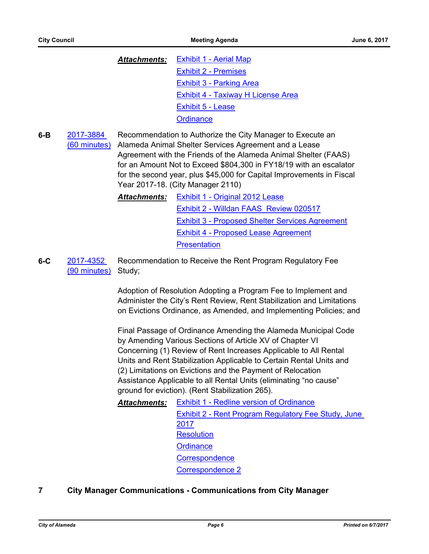*Attachments:* [Exhibit 1 - Aerial Map](http://alameda.legistar.com/gateway.aspx?M=F&ID=7d78f0ec-300f-42f1-8e7c-5c57813cc0cf.pdf) [Exhibit 2 - Premises](http://alameda.legistar.com/gateway.aspx?M=F&ID=39076da4-d9fb-421b-90a6-262ba478fa60.pdf) **[Exhibit 3 - Parking Area](http://alameda.legistar.com/gateway.aspx?M=F&ID=1fbb8db3-c866-44c6-a2c8-84a50c86582b.pdf)** [Exhibit 4 - Taxiway H License Area](http://alameda.legistar.com/gateway.aspx?M=F&ID=363ec78d-a699-41c3-a9f3-4af41bde3924.pdf) [Exhibit 5 - Lease](http://alameda.legistar.com/gateway.aspx?M=F&ID=a3ec3fdd-9ba6-426b-9978-f0f9be528398.pdf) **[Ordinance](http://alameda.legistar.com/gateway.aspx?M=F&ID=835bbbcc-7952-4f25-acc6-293a765c5975.pdf)** 

**6-B** 2017-3884 [\(60 minutes\)](http://alameda.legistar.com/gateway.aspx?m=l&id=/matter.aspx?key=5585) Recommendation to Authorize the City Manager to Execute an Alameda Animal Shelter Services Agreement and a Lease Agreement with the Friends of the Alameda Animal Shelter (FAAS) for an Amount Not to Exceed \$804,300 in FY18/19 with an escalator for the second year, plus \$45,000 for Capital Improvements in Fiscal Year 2017-18. (City Manager 2110)

> *Attachments:* [Exhibit 1 - Original 2012 Lease](http://alameda.legistar.com/gateway.aspx?M=F&ID=7f65f9df-23bf-4e5f-92f9-722b0a27cc91.pdf) [Exhibit 2 - Willdan FAAS Review 020517](http://alameda.legistar.com/gateway.aspx?M=F&ID=0a70b379-0bc8-40c3-9299-dd60944f32da.pdf) [Exhibit 3 - Proposed Shelter Services Agreement](http://alameda.legistar.com/gateway.aspx?M=F&ID=9f93fcdb-030c-4058-a273-8fda728ea2b3.pdf) [Exhibit 4 - Proposed Lease Agreement](http://alameda.legistar.com/gateway.aspx?M=F&ID=b9e0dc31-afee-4d30-b8f1-9a954be9a1ad.pdf) **[Presentation](http://alameda.legistar.com/gateway.aspx?M=F&ID=d34ade8f-7c60-4142-a89e-a903884f1356.pdf)**

**6-C** 2017-4352 [\(90 minutes\)](http://alameda.legistar.com/gateway.aspx?m=l&id=/matter.aspx?key=6053) Recommendation to Receive the Rent Program Regulatory Fee Study;

> Adoption of Resolution Adopting a Program Fee to Implement and Administer the City's Rent Review, Rent Stabilization and Limitations on Evictions Ordinance, as Amended, and Implementing Policies; and

Final Passage of Ordinance Amending the Alameda Municipal Code by Amending Various Sections of Article XV of Chapter VI Concerning (1) Review of Rent Increases Applicable to All Rental Units and Rent Stabilization Applicable to Certain Rental Units and (2) Limitations on Evictions and the Payment of Relocation Assistance Applicable to all Rental Units (eliminating "no cause" ground for eviction). (Rent Stabilization 265).

*Attachments:* [Exhibit 1 - Redline version of Ordinance](http://alameda.legistar.com/gateway.aspx?M=F&ID=3c68d31c-41ba-4af0-a987-76c9d5156cb9.pdf) [Exhibit 2 - Rent Program Regulatory Fee Study, June](http://alameda.legistar.com/gateway.aspx?M=F&ID=feefa8c7-79d5-403a-aeb9-a0471efcdba0.pdf)  2017 **[Resolution](http://alameda.legistar.com/gateway.aspx?M=F&ID=e5d3300b-6be8-4b21-9dc8-07d28d6b1872.pdf) [Ordinance](http://alameda.legistar.com/gateway.aspx?M=F&ID=1374e489-0708-4971-9791-a2f262757cfb.pdf) [Correspondence](http://alameda.legistar.com/gateway.aspx?M=F&ID=e378b0f0-cf93-4933-b91e-76effb20f62a.pdf)** [Correspondence 2](http://alameda.legistar.com/gateway.aspx?M=F&ID=3fad6095-9cf8-49a3-8226-07da8b531e6c.pdf)

**7 City Manager Communications - Communications from City Manager**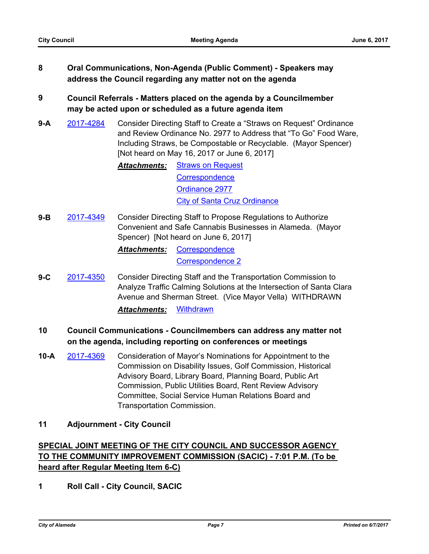- **8 Oral Communications, Non-Agenda (Public Comment) Speakers may address the Council regarding any matter not on the agenda**
- **9 Council Referrals Matters placed on the agenda by a Councilmember may be acted upon or scheduled as a future agenda item**
- **9-A** [2017-4284](http://alameda.legistar.com/gateway.aspx?m=l&id=/matter.aspx?key=5985) Consider Directing Staff to Create a "Straws on Request" Ordinance and Review Ordinance No. 2977 to Address that "To Go" Food Ware, Including Straws, be Compostable or Recyclable. (Mayor Spencer) [Not heard on May 16, 2017 or June 6, 2017]

Attachments: [Straws on Request](http://alameda.legistar.com/gateway.aspx?M=F&ID=1db618f7-eb21-4152-b5a5-a6dadc40c140.pdf) **[Correspondence](http://alameda.legistar.com/gateway.aspx?M=F&ID=01d7b371-e1d5-4cf3-aab3-b345534cd198.pdf)** [Ordinance 2977](http://alameda.legistar.com/gateway.aspx?M=F&ID=270d7a11-4b72-41fc-a81e-adc9fa2a8790.pdf) [City of Santa Cruz Ordinance](http://alameda.legistar.com/gateway.aspx?M=F&ID=13619272-5885-46b6-af33-9635aa3690ad.pdf)

**9-B** [2017-4349](http://alameda.legistar.com/gateway.aspx?m=l&id=/matter.aspx?key=6050) Consider Directing Staff to Propose Regulations to Authorize Convenient and Safe Cannabis Businesses in Alameda. (Mayor Spencer) [Not heard on June 6, 2017]

> *Attachments:* [Correspondence](http://alameda.legistar.com/gateway.aspx?M=F&ID=8cbfdc25-92a2-4cca-bafd-c6ef88470ea3.pdf) [Correspondence 2](http://alameda.legistar.com/gateway.aspx?M=F&ID=b0119609-8b23-44bb-9389-ed4b573c673f.pdf)

**9-C** [2017-4350](http://alameda.legistar.com/gateway.aspx?m=l&id=/matter.aspx?key=6051) Consider Directing Staff and the Transportation Commission to Analyze Traffic Calming Solutions at the Intersection of Santa Clara Avenue and Sherman Street. (Vice Mayor Vella) WITHDRAWN *Attachments:* [Withdrawn](http://alameda.legistar.com/gateway.aspx?M=F&ID=0e711c49-2951-418b-928d-362510f42775.pdf)

## **10 Council Communications - Councilmembers can address any matter not on the agenda, including reporting on conferences or meetings**

**10-A** [2017-4369](http://alameda.legistar.com/gateway.aspx?m=l&id=/matter.aspx?key=6070) Consideration of Mayor's Nominations for Appointment to the Commission on Disability Issues, Golf Commission, Historical Advisory Board, Library Board, Planning Board, Public Art Commission, Public Utilities Board, Rent Review Advisory Committee, Social Service Human Relations Board and Transportation Commission.

## **11 Adjournment - City Council**

## **SPECIAL JOINT MEETING OF THE CITY COUNCIL AND SUCCESSOR AGENCY TO THE COMMUNITY IMPROVEMENT COMMISSION (SACIC) - 7:01 P.M. (To be heard after Regular Meeting Item 6-C)**

**1 Roll Call - City Council, SACIC**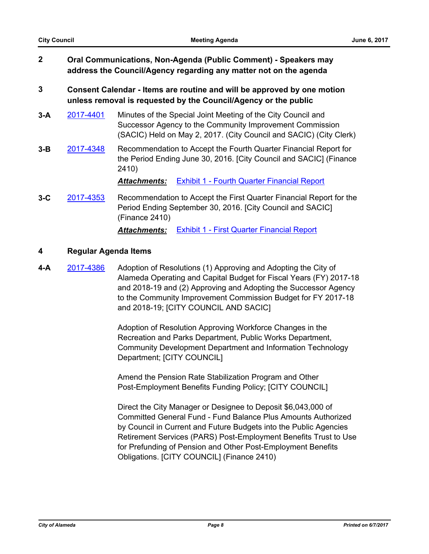| Oral Communications, Non-Agenda (Public Comment) - Speakers may   |
|-------------------------------------------------------------------|
| address the Council/Agency regarding any matter not on the agenda |

## **3 Consent Calendar - Items are routine and will be approved by one motion unless removal is requested by the Council/Agency or the public**

- **3-A** [2017-4401](http://alameda.legistar.com/gateway.aspx?m=l&id=/matter.aspx?key=6102) Minutes of the Special Joint Meeting of the City Council and Successor Agency to the Community Improvement Commission (SACIC) Held on May 2, 2017. (City Council and SACIC) (City Clerk)
- **3-B** [2017-4348](http://alameda.legistar.com/gateway.aspx?m=l&id=/matter.aspx?key=6049) Recommendation to Accept the Fourth Quarter Financial Report for the Period Ending June 30, 2016. [City Council and SACIC] (Finance 2410)

*Attachments:* [Exhibit 1 - Fourth Quarter Financial Report](http://alameda.legistar.com/gateway.aspx?M=F&ID=f9f711a0-bd08-42a4-a270-d71b2fd6f0dd.pdf)

**3-C** [2017-4353](http://alameda.legistar.com/gateway.aspx?m=l&id=/matter.aspx?key=6054) Recommendation to Accept the First Quarter Financial Report for the Period Ending September 30, 2016. [City Council and SACIC] (Finance 2410)

*Attachments:* [Exhibit 1 - First Quarter Financial Report](http://alameda.legistar.com/gateway.aspx?M=F&ID=eb22121a-189d-4962-baf8-6e5d82191bbf.pdf)

#### **4 Regular Agenda Items**

**4-A** [2017-4386](http://alameda.legistar.com/gateway.aspx?m=l&id=/matter.aspx?key=6087) Adoption of Resolutions (1) Approving and Adopting the City of Alameda Operating and Capital Budget for Fiscal Years (FY) 2017-18 and 2018-19 and (2) Approving and Adopting the Successor Agency to the Community Improvement Commission Budget for FY 2017-18 and 2018-19; [CITY COUNCIL AND SACIC]

> Adoption of Resolution Approving Workforce Changes in the Recreation and Parks Department, Public Works Department, Community Development Department and Information Technology Department; [CITY COUNCIL]

Amend the Pension Rate Stabilization Program and Other Post-Employment Benefits Funding Policy; [CITY COUNCIL]

Direct the City Manager or Designee to Deposit \$6,043,000 of Committed General Fund - Fund Balance Plus Amounts Authorized by Council in Current and Future Budgets into the Public Agencies Retirement Services (PARS) Post-Employment Benefits Trust to Use for Prefunding of Pension and Other Post-Employment Benefits Obligations. [CITY COUNCIL] (Finance 2410)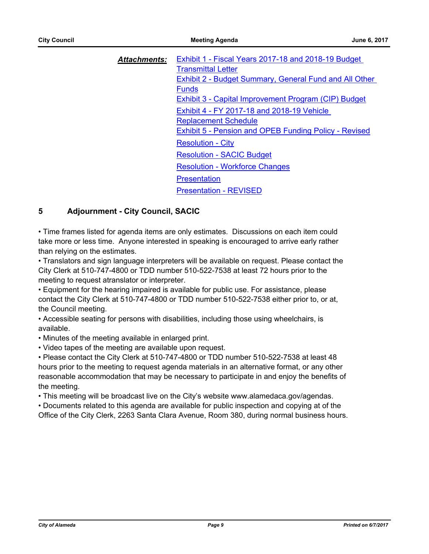| <b>Attachments:</b> | Exhibit 1 - Fiscal Years 2017-18 and 2018-19 Budget           |
|---------------------|---------------------------------------------------------------|
|                     | <b>Transmittal Letter</b>                                     |
|                     | <b>Exhibit 2 - Budget Summary, General Fund and All Other</b> |
|                     | <b>Funds</b>                                                  |
|                     | Exhibit 3 - Capital Improvement Program (CIP) Budget          |
|                     | Exhibit 4 - FY 2017-18 and 2018-19 Vehicle                    |
|                     | <b>Replacement Schedule</b>                                   |
|                     | <b>Exhibit 5 - Pension and OPEB Funding Policy - Revised</b>  |
|                     | <b>Resolution - City</b>                                      |
|                     | <b>Resolution - SACIC Budget</b>                              |
|                     | <b>Resolution - Workforce Changes</b>                         |
|                     | <b>Presentation</b>                                           |
|                     | <b>Presentation - REVISED</b>                                 |

## **5 Adjournment - City Council, SACIC**

• Time frames listed for agenda items are only estimates. Discussions on each item could take more or less time. Anyone interested in speaking is encouraged to arrive early rather than relying on the estimates.

• Translators and sign language interpreters will be available on request. Please contact the City Clerk at 510-747-4800 or TDD number 510-522-7538 at least 72 hours prior to the meeting to request atranslator or interpreter.

• Equipment for the hearing impaired is available for public use. For assistance, please contact the City Clerk at 510-747-4800 or TDD number 510-522-7538 either prior to, or at, the Council meeting.

• Accessible seating for persons with disabilities, including those using wheelchairs, is available.

• Minutes of the meeting available in enlarged print.

• Video tapes of the meeting are available upon request.

• Please contact the City Clerk at 510-747-4800 or TDD number 510-522-7538 at least 48 hours prior to the meeting to request agenda materials in an alternative format, or any other reasonable accommodation that may be necessary to participate in and enjoy the benefits of the meeting.

• This meeting will be broadcast live on the City's website www.alamedaca.gov/agendas.

• Documents related to this agenda are available for public inspection and copying at of the

Office of the City Clerk, 2263 Santa Clara Avenue, Room 380, during normal business hours.